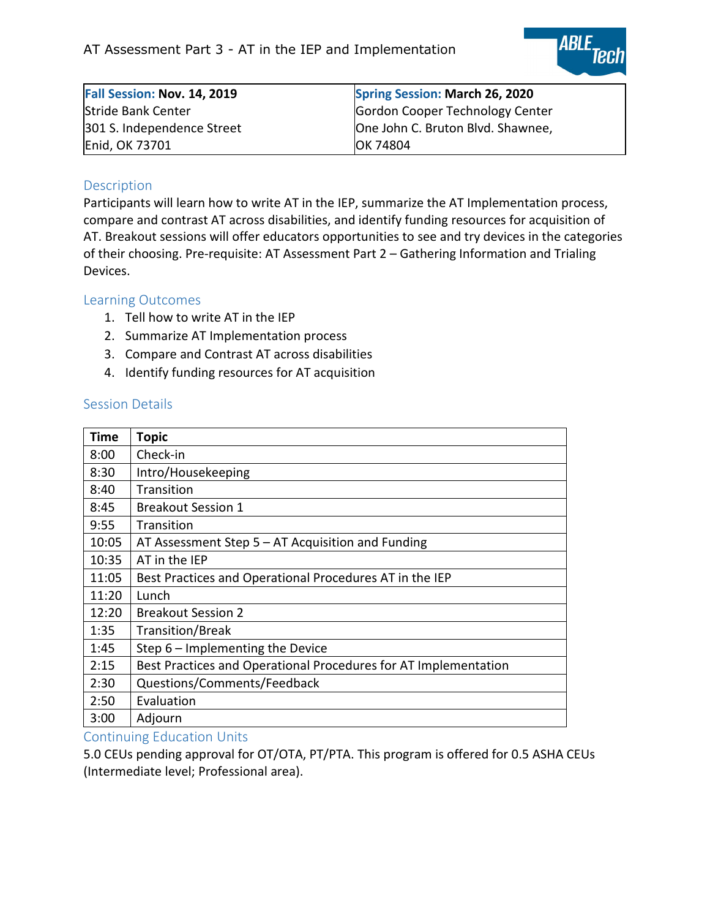

| Fall Session: Nov. 14, 2019 | <b>Spring Session: March 26, 2020</b> |
|-----------------------------|---------------------------------------|
| Stride Bank Center          | Gordon Cooper Technology Center       |
| 301 S. Independence Street  | One John C. Bruton Blvd. Shawnee,     |
| Enid, OK 73701              | IOK 74804                             |

## Description

Participants will learn how to write AT in the IEP, summarize the AT Implementation process, compare and contrast AT across disabilities, and identify funding resources for acquisition of AT. Breakout sessions will offer educators opportunities to see and try devices in the categories of their choosing. Pre-requisite: AT Assessment Part 2 – Gathering Information and Trialing Devices.

# Learning Outcomes

- 1. Tell how to write AT in the IEP
- 2. Summarize AT Implementation process
- 3. Compare and Contrast AT across disabilities
- 4. Identify funding resources for AT acquisition

# Session Details

| <b>Time</b> | <b>Topic</b>                                                    |
|-------------|-----------------------------------------------------------------|
| 8:00        | Check-in                                                        |
| 8:30        | Intro/Housekeeping                                              |
| 8:40        | Transition                                                      |
| 8:45        | <b>Breakout Session 1</b>                                       |
| 9:55        | Transition                                                      |
| 10:05       | AT Assessment Step $5 - AT$ Acquisition and Funding             |
| 10:35       | AT in the IEP                                                   |
| 11:05       | Best Practices and Operational Procedures AT in the IEP         |
| 11:20       | Lunch                                                           |
| 12:20       | <b>Breakout Session 2</b>                                       |
| 1:35        | <b>Transition/Break</b>                                         |
| 1:45        | Step 6 - Implementing the Device                                |
| 2:15        | Best Practices and Operational Procedures for AT Implementation |
| 2:30        | Questions/Comments/Feedback                                     |
| 2:50        | Evaluation                                                      |
| 3:00        | Adjourn                                                         |

### Continuing Education Units

5.0 CEUs pending approval for OT/OTA, PT/PTA. This program is offered for 0.5 ASHA CEUs (Intermediate level; Professional area).